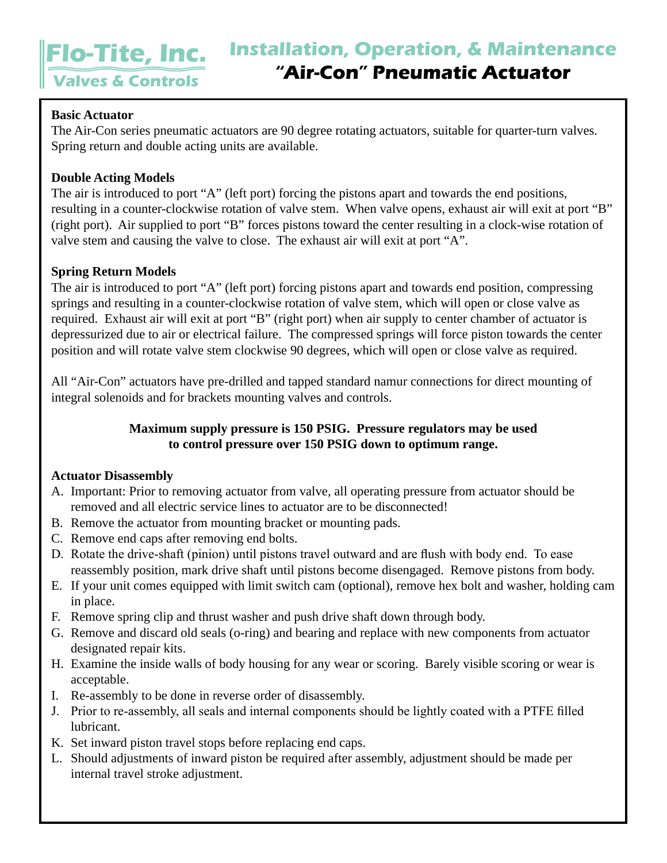# **Flo-Tite, Inc. Valves & Controls**

## **Basic Actuator**

The Air-Con series pneumatic actuators are 90 degree rotating actuators, suitable for quarter-turn valves. Spring return and double acting units are available.

## **Double Acting Models**

The air is introduced to port "A" (left port) forcing the pistons apart and towards the end positions, resulting in a counter-clockwise rotation of valve stem. When valve opens, exhaust air will exit at port "B" (right port). Air supplied to port "B" forces pistons toward the center resulting in a clock-wise rotation of valve stem and causing the valve to close. The exhaust air will exit at port "A".

# **Spring Return Models**

The air is introduced to port "A" (left port) forcing pistons apart and towards end position, compressing springs and resulting in a counter-clockwise rotation of valve stem, which will open or close valve as required. Exhaust air will exit at port "B" (right port) when air supply to center chamber of actuator is depressurized due to air or electrical failure. The compressed springs will force piston towards the center position and will rotate valve stem clockwise 90 degrees, which will open or close valve as required.

All "Air-Con" actuators have pre-drilled and tapped standard namur connections for direct mounting of integral solenoids and for brackets mounting valves and controls.

# **Maximum supply pressure is 150 PSIG. Pressure regulators may be used to control pressure over 150 PSIG down to optimum range.**

#### **Actuator Disassembly**

- A. Important: Prior to removing actuator from valve, all operating pressure from actuator should be removed and all electric service lines to actuator are to be disconnected!
- B. Remove the actuator from mounting bracket or mounting pads.
- C. Remove end caps after removing end bolts.
- D. Rotate the drive-shaft (pinion) until pistons travel outward and are flush with body end. To ease reassembly position, mark drive shaft until pistons become disengaged. Remove pistons from body.
- E. If your unit comes equipped with limit switch cam (optional), remove hex bolt and washer, holding cam in place.
- F. Remove spring clip and thrust washer and push drive shaft down through body.
- G. Remove and discard old seals (o-ring) and bearing and replace with new components from actuator designated repair kits.
- H. Examine the inside walls of body housing for any wear or scoring. Barely visible scoring or wear is acceptable.
- I. Re-assembly to be done in reverse order of disassembly.
- J. Prior to re-assembly, all seals and internal components should be lightly coated with a PTFE filled lubricant.
- K. Set inward piston travel stops before replacing end caps.
- L. Should adjustments of inward piston be required after assembly, adjustment should be made per internal travel stroke adjustment.